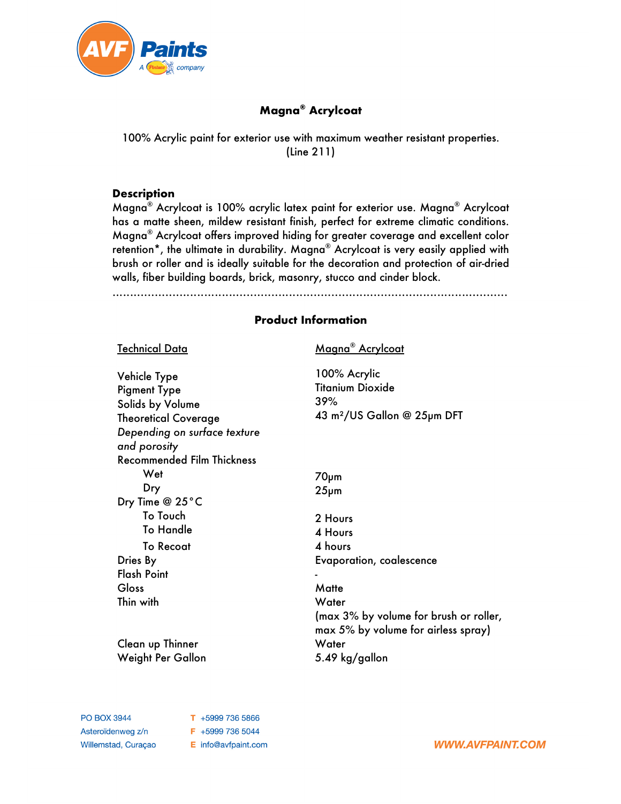

# **Magna® Acrylcoat**

100% Acrylic paint for exterior use with maximum weather resistant properties. (Line 211)

# **Description**

Magna® Acrylcoat is 100% acrylic latex paint for exterior use. Magna® Acrylcoat has a matte sheen, mildew resistant finish, perfect for extreme climatic conditions. Magna® Acrylcoat offers improved hiding for greater coverage and excellent color retention\*, the ultimate in durability. Magna® Acrylcoat is very easily applied with brush or roller and is ideally suitable for the decoration and protection of air-dried walls, fiber building boards, brick, masonry, stucco and cinder block.

................................................................................................................

# **Product Information**

| <u>Technical Data</u>                                                                                                                  | Magna® Acrylcoat                                                                          |
|----------------------------------------------------------------------------------------------------------------------------------------|-------------------------------------------------------------------------------------------|
| Vehicle Type<br><b>Pigment Type</b><br>Solids by Volume<br><b>Theoretical Coverage</b><br>Depending on surface texture<br>and porosity | 100% Acrylic<br><b>Titanium Dioxide</b><br>39%<br>43 m <sup>2</sup> /US Gallon @ 25µm DFT |
| <b>Recommended Film Thickness</b>                                                                                                      |                                                                                           |
| Wet                                                                                                                                    | $70µ$ m                                                                                   |
| Dry                                                                                                                                    | $25µ$ m                                                                                   |
| Dry Time @ 25°C                                                                                                                        |                                                                                           |
| To Touch                                                                                                                               | 2 Hours                                                                                   |
| <b>To Handle</b>                                                                                                                       | 4 Hours                                                                                   |
| <b>To Recoat</b>                                                                                                                       | 4 hours                                                                                   |
| Dries By                                                                                                                               | <b>Evaporation, coalescence</b>                                                           |
| <b>Flash Point</b>                                                                                                                     |                                                                                           |
| Gloss                                                                                                                                  | Matte                                                                                     |
| Thin with                                                                                                                              | Water                                                                                     |
|                                                                                                                                        | (max 3% by volume for brush or roller,<br>max 5% by volume for airless spray)             |
| Clean up Thinner                                                                                                                       | Water                                                                                     |
| Weight Per Gallon                                                                                                                      | 5.49 kg/gallon                                                                            |

T +5999 736 5866 F +5999 736 5044 E info@avfpaint.com

**WWW.AVFPAINT.COM**